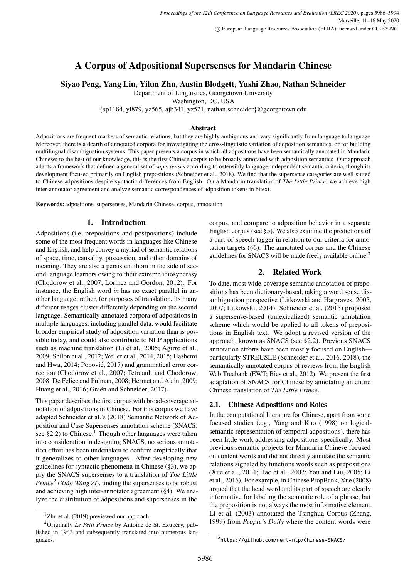# A Corpus of Adpositional Supersenses for Mandarin Chinese

# Siyao Peng, Yang Liu, Yilun Zhu, Austin Blodgett, Yushi Zhao, Nathan Schneider

Department of Linguistics, Georgetown University

Washington, DC, USA

{sp1184, yl879, yz565, ajb341, yz521, nathan.schneider}@georgetown.edu

#### Abstract

Adpositions are frequent markers of semantic relations, but they are highly ambiguous and vary significantly from language to language. Moreover, there is a dearth of annotated corpora for investigating the cross-linguistic variation of adposition semantics, or for building multilingual disambiguation systems. This paper presents a corpus in which all adpositions have been semantically annotated in Mandarin Chinese; to the best of our knowledge, this is the first Chinese corpus to be broadly annotated with adposition semantics. Our approach adapts a framework that defined a general set of *supersenses* according to ostensibly language-independent semantic criteria, though its development focused primarily on English prepositions [\(Schneider et al.,](#page-7-0) [2018\)](#page-7-0). We find that the supersense categories are well-suited to Chinese adpositions despite syntactic differences from English. On a Mandarin translation of *The Little Prince*, we achieve high inter-annotator agreement and analyze semantic correspondences of adposition tokens in bitext.

Keywords: adpositions, supersenses, Mandarin Chinese, corpus, annotation

### 1. Introduction

Adpositions (i.e. prepositions and postpositions) include some of the most frequent words in languages like Chinese and English, and help convey a myriad of semantic relations of space, time, causality, possession, and other domains of meaning. They are also a persistent thorn in the side of second language learners owing to their extreme idiosyncrasy [\(Chodorow et al.,](#page-6-0) [2007;](#page-6-0) [Lorincz and Gordon,](#page-7-1) [2012\)](#page-7-1). For instance, the English word *in* has no exact parallel in another language; rather, for purposes of translation, its many different usages cluster differently depending on the second language. Semantically annotated corpora of adpositions in multiple languages, including parallel data, would facilitate broader empirical study of adposition variation than is possible today, and could also contribute to NLP applications such as machine translation [\(Li et al.,](#page-7-2) [2005;](#page-7-2) [Agirre et al.,](#page-6-1) [2009;](#page-6-1) [Shilon et al.,](#page-7-3) [2012;](#page-7-3) [Weller et al.,](#page-7-4) [2014,](#page-7-4) [2015;](#page-7-5) [Hashemi](#page-6-2) [and Hwa,](#page-6-2) [2014;](#page-6-2) Popović, [2017\)](#page-7-6) and grammatical error correction [\(Chodorow et al.,](#page-6-0) [2007;](#page-6-0) [Tetreault and Chodorow,](#page-7-7) [2008;](#page-7-7) [De Felice and Pulman,](#page-6-3) [2008;](#page-6-3) [Hermet and Alain,](#page-6-4) [2009;](#page-6-4) [Huang et al.,](#page-6-5) [2016;](#page-6-5) [Graën and Schneider,](#page-6-6) [2017\)](#page-6-6).

This paper describes the first corpus with broad-coverage annotation of adpositions in Chinese. For this corpus we have adapted [Schneider et al.'](#page-7-0)s [\(2018\)](#page-7-0) Semantic Network of Adposition and Case Supersenses annotation scheme (SNACS; see [§2.2\)](#page-1-0) to Chinese.<sup>[1](#page-0-0)</sup> Though other languages were taken into consideration in designing SNACS, no serious annotation effort has been undertaken to confirm empirically that it generalizes to other languages. After developing new guidelines for syntactic phenomena in Chinese ([§3\)](#page-1-1), we apply the SNACS supersenses to a translation of *The Little Prince<sup>[2](#page-0-1)</sup>* (*Xiǎo Wáng Zǐ*), finding the supersenses to be robust and achieving high inter-annotator agreement ([§4\)](#page-2-0). We analyze the distribution of adpositions and supersenses in the

corpus, and compare to adposition behavior in a separate English corpus (see [§5\)](#page-2-1). We also examine the predictions of a part-of-speech tagger in relation to our criteria for annotation targets ([§6\)](#page-5-0). The annotated corpus and the Chinese guidelines for SNACS will be made freely available online.<sup>[3](#page-0-2)</sup>

### 2. Related Work

To date, most wide-coverage semantic annotation of prepositions has been dictionary-based, taking a word sense disambiguation perspective [\(Litkowski and Hargraves,](#page-7-8) [2005,](#page-7-8) [2007;](#page-7-9) [Litkowski,](#page-7-10) [2014\)](#page-7-10). [Schneider et al.](#page-7-11) [\(2015\)](#page-7-11) proposed a supersense-based (unlexicalized) semantic annotation scheme which would be applied to all tokens of prepositions in English text. We adopt a revised version of the approach, known as SNACS (see [§2.2\)](#page-1-0). Previous SNACS annotation efforts have been mostly focused on English particularly STREUSLE [\(Schneider et al.,](#page-7-12) [2016,](#page-7-12) [2018\)](#page-7-0), the semantically annotated corpus of reviews from the English Web Treebank (EWT; [Bies et al.,](#page-6-7) [2012\)](#page-6-7). We present the first adaptation of SNACS for Chinese by annotating an entire Chinese translation of *The Little Prince*.

### 2.1. Chinese Adpositions and Roles

In the computational literature for Chinese, apart from some focused studies (e.g., [Yang and Kuo](#page-8-1) [\(1998\)](#page-8-1) on logicalsemantic representation of temporal adpositions), there has been little work addressing adpositions specifically. Most previous semantic projects for Mandarin Chinese focused on content words and did not directly annotate the semantic relations signaled by functions words such as prepositions [\(Xue et al.,](#page-8-2) [2014;](#page-8-2) [Hao et al.,](#page-6-8) [2007;](#page-6-8) [You and Liu,](#page-8-3) [2005;](#page-8-3) [Li](#page-7-13) [et al.,](#page-7-13) [2016\)](#page-7-13). For example, in Chinese PropBank, [Xue](#page-8-4) [\(2008\)](#page-8-4) argued that the head word and its part of speech are clearly informative for labeling the semantic role of a phrase, but the preposition is not always the most informative element. [Li et al.](#page-7-14) [\(2003\)](#page-7-14) annotated the Tsinghua Corpus [\(Zhang,](#page-8-5) [1999\)](#page-8-5) from *People's Daily* where the content words were

<span id="page-0-1"></span><span id="page-0-0"></span> $1$ [Zhu et al.](#page-8-0) [\(2019\)](#page-8-0) previewed our approach.

<sup>2</sup>Originally *Le Petit Prince* by Antoine de St. Exupéry, published in 1943 and subsequently translated into numerous languages.

<span id="page-0-2"></span><sup>3</sup> <https://github.com/nert-nlp/Chinese-SNACS/>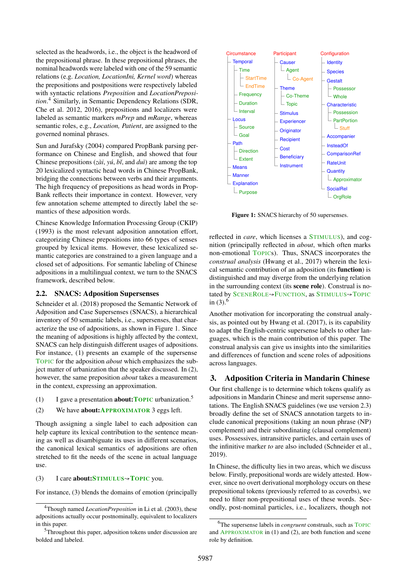selected as the headwords, i.e., the object is the headword of the prepositional phrase. In these prepositional phrases, the nominal headwords were labeled with one of the 59 semantic relations (e.g. *Location, LocationIni, Kernel word*) whereas the prepositions and postpositions were respectively labeled with syntactic relations *Preposition* and *LocationPreposition*. [4](#page-1-2) Similarly, in Semantic Dependency Relations (SDR, [Che et al.](#page-6-9) [2012,](#page-6-9) [2016\)](#page-6-10), prepositions and localizers were labeled as semantic markers *mPrep* and *mRange*, whereas semantic roles, e.g., *Location, Patient*, are assigned to the governed nominal phrases.

[Sun and Jurafsky](#page-7-15) [\(2004\)](#page-7-15) compared PropBank parsing performance on Chinese and English, and showed that four Chinese prepositions (*zài*, *yú*, *bˇı*, and *duì*) are among the top 20 lexicalized syntactic head words in Chinese PropBank, bridging the connections between verbs and their arguments. The high frequency of prepositions as head words in Prop-Bank reflects their importance in context. However, very few annotation scheme attempted to directly label the semantics of these adposition words.

[Chinese Knowledge Information Processing Group \(CKIP\)](#page-6-11) [\(1993\)](#page-6-11) is the most relevant adposition annotation effort, categorizing Chinese prepositions into 66 types of senses grouped by lexical items. However, these lexicalized semantic categories are constrained to a given language and a closed set of adpositions. For semantic labeling of Chinese adpositions in a multilingual context, we turn to the SNACS framework, described below.

#### <span id="page-1-0"></span>2.2. SNACS: Adposition Supersenses

[Schneider et al.](#page-7-0) [\(2018\)](#page-7-0) proposed the Semantic Network of Adposition and Case Supersenses (SNACS), a hierarchical inventory of 50 semantic labels, i.e., supersenses, that characterize the use of adpositions, as shown in Figure [1.](#page-1-3) Since the meaning of adpositions is highly affected by the context, SNACS can help distinguish different usages of adpositions. For instance, [\(1\)](#page-1-4) presents an example of the supersense TOPIC for the adposition *about* which emphasizes the subject matter of urbanization that the speaker discussed. In [\(2\)](#page-1-5), however, the same preposition *about* takes a measurement in the context, expressing an approximation.

- <span id="page-1-5"></span><span id="page-1-4"></span>(1) I gave a presentation **about: TOPIC** urbanization.<sup>[5](#page-1-6)</sup>
- (2) We have about:APPROXIMATOR 3 eggs left.

Though assigning a single label to each adposition can help capture its lexical contribution to the sentence meaning as well as disambiguate its uses in different scenarios, the canonical lexical semantics of adpositions are often stretched to fit the needs of the scene in actual language use.

<span id="page-1-7"></span>(3) I care about:  $STIMULUS \rightarrow TOPIC$  you.

For instance, [\(3\)](#page-1-7) blends the domains of emotion (principally

<span id="page-1-3"></span>

Figure 1: SNACS hierarchy of 50 supersenses.

reflected in *care*, which licenses a STIMULUS), and cognition (principally reflected in *about*, which often marks non-emotional TOPICs). Thus, SNACS incorporates the *construal analysis* [\(Hwang et al.,](#page-7-16) [2017\)](#page-7-16) wherein the lexical semantic contribution of an adposition (its function) is distinguished and may diverge from the underlying relation in the surrounding context (its scene role). Construal is notated by SCENEROLE→FUNCTION, as STIMULUS→TOPIC in  $(3)$ .<sup>[6](#page-1-8)</sup>

Another motivation for incorporating the construal analysis, as pointed out by [Hwang et al.](#page-7-16) [\(2017\)](#page-7-16), is its capability to adapt the English-centric supersense labels to other languages, which is the main contribution of this paper. The construal analysis can give us insights into the similarities and differences of function and scene roles of adpositions across languages.

# <span id="page-1-1"></span>3. Adposition Criteria in Mandarin Chinese

Our first challenge is to determine which tokens qualify as adpositions in Mandarin Chinese and merit supersense annotations. The English SNACS guidelines (we use version 2.3) broadly define the set of SNACS annotation targets to include canonical prepositions (taking an noun phrase (NP) complement) and their subordinating (clausal complement) uses. Possessives, intransitive particles, and certain uses of the infinitive marker *to* are also included [\(Schneider et al.,](#page-7-17) [2019\)](#page-7-17).

In Chinese, the difficulty lies in two areas, which we discuss below. Firstly, prepositional words are widely attested. However, since no overt derivational morphology occurs on these prepositional tokens (previously referred to as coverbs), we need to filter non-prepositional uses of these words. Secondly, post-nominal particles, i.e., localizers, though not

<span id="page-1-2"></span><sup>4</sup>Though named *LocationPreposition* in [Li et al.](#page-7-14) [\(2003\)](#page-7-14), these adpositions actually occur postnominally, equivalent to localizers in this paper.

<span id="page-1-6"></span><sup>&</sup>lt;sup>5</sup>Throughout this paper, adposition tokens under discussion are bolded and labeled.

<span id="page-1-8"></span><sup>6</sup>The supersense labels in *congruent* construals, such as TOPIC and APPROXIMATOR in [\(1\)](#page-1-4) and [\(2\)](#page-1-5), are both function and scene role by definition.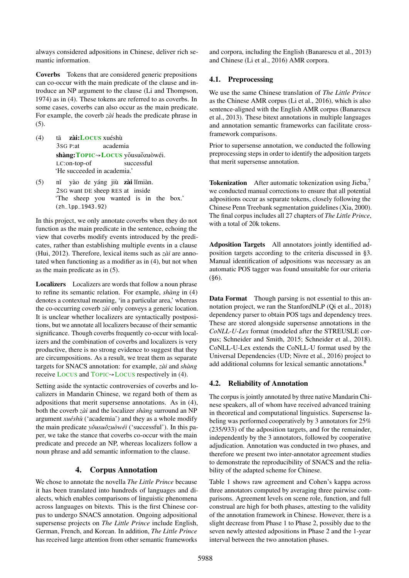always considered adpositions in Chinese, deliver rich semantic information.

Coverbs Tokens that are considered generic prepositions can co-occur with the main predicate of the clause and introduce an NP argument to the clause [\(Li and Thompson,](#page-7-18) [1974\)](#page-7-18) as in [\(4\)](#page-2-2). These tokens are referred to as coverbs. In some cases, coverbs can also occur as the main predicate. For example, the coverb *zài* heads the predicate phrase in [\(5\)](#page-2-3).

- <span id="page-2-2"></span> $(4)$ 3SG P:at z<mark>ài:Locus</mark> xuéshù academia shàng:TOPIC→LOCUS yǒusuǒzuòwéi. LC:on-top-of successful 'He succeeded in academia.'
- <span id="page-2-3"></span> $(5)$ 2SG want DE sheep RES at inside yào de yáng jiù zài lǐmiàn. 'The sheep you wanted is in the box.' (zh\_lpp\_1943.92)

In this project, we only annotate coverbs when they do not function as the main predicate in the sentence, echoing the view that coverbs modify events introduced by the predicates, rather than establishing multiple events in a clause [\(Hui,](#page-6-12) [2012\)](#page-6-12). Therefore, lexical items such as *zài* are annotated when functioning as a modifier as in [\(4\)](#page-2-2), but not when as the main predicate as in [\(5\)](#page-2-3).

Localizers Localizers are words that follow a noun phrase to refine its semantic relation. For example, *shàng* in [\(4\)](#page-2-2) denotes a contextual meaning, 'in a particular area,' whereas the co-occurring coverb *zài* only conveys a generic location. It is unclear whether localizers are syntactically postpositions, but we annotate all localizers because of their semantic significance. Though coverbs frequently co-occur with localizers and the combination of coverbs and localizers is very productive, there is no strong evidence to suggest that they are circumpositions. As a result, we treat them as separate targets for SNACS annotation: for example, *zài* and *shàng* receive LOCUS and TOPIC→LOCUS respectively in [\(4\)](#page-2-2).

Setting aside the syntactic controversies of coverbs and localizers in Mandarin Chinese, we regard both of them as adpositions that merit supersense annotations. As in [\(4\)](#page-2-2), both the coverb *zài* and the localizer *shàng* surround an NP argument *xuéshù* ('academia') and they as a whole modify the main predicate *yǒusuǒzuòwéi* ('successful'). In this paper, we take the stance that coverbs co-occur with the main predicate and precede an NP, whereas localizers follow a noun phrase and add semantic information to the clause.

# 4. Corpus Annotation

<span id="page-2-0"></span>We chose to annotate the novella *The Little Prince* because it has been translated into hundreds of languages and dialects, which enables comparisons of linguistic phenomena across languages on bitexts. This is the first Chinese corpus to undergo SNACS annotation. Ongoing adpositional supersense projects on *The Little Prince* include English, German, French, and Korean. In addition, *The Little Prince* has received large attention from other semantic frameworks

and corpora, including the English [\(Banarescu et al.,](#page-6-13) [2013\)](#page-6-13) and Chinese [\(Li et al.,](#page-7-13) [2016\)](#page-7-13) AMR corpora.

# 4.1. Preprocessing

We use the same Chinese translation of *The Little Prince* as the Chinese AMR corpus [\(Li et al.,](#page-7-13) [2016\)](#page-7-13), which is also sentence-aligned with the English AMR corpus [\(Banarescu](#page-6-13) [et al.,](#page-6-13) [2013\)](#page-6-13). These bitext annotations in multiple languages and annotation semantic frameworks can facilitate crossframework comparisons.

Prior to supersense annotation, we conducted the following preprocessing steps in order to identify the adposition targets that merit supersense annotation.

**Tokenization** After automatic tokenization using Jieba,<sup>[7](#page-3-0)</sup> we conducted manual corrections to ensure that all potential adpositions occur as separate tokens, closely following the Chinese Penn Treebank segmentation guidelines [\(Xia,](#page-8-6) [2000\)](#page-8-6). The final corpus includes all 27 chapters of *The Little Prince*, with a total of 20k tokens.

Adposition Targets All annotators jointly identified adposition targets according to the criteria discussed in [§3.](#page-1-1) Manual identification of adpositions was necessary as an automatic POS tagger was found unsuitable for our criteria  $(\$6)$ .

Data Format Though parsing is not essential to this annotation project, we ran the StanfordNLP [\(Qi et al.,](#page-7-19) [2018\)](#page-7-19) dependency parser to obtain POS tags and dependency trees. These are stored alongside supersense annotations in the *CoNLL-U-Lex* format (modeled after the STREUSLE corpus; [Schneider and Smith,](#page-7-20) [2015;](#page-7-20) [Schneider et al.,](#page-7-0) [2018\)](#page-7-0). CoNLL-U-Lex extends the CoNLL-U format used by the Universal Dependencies (UD; [Nivre et al.,](#page-7-21) [2016\)](#page-7-21) project to add additional columns for lexical semantic annotations.<sup>[8](#page-3-1)</sup>

# 4.2. Reliability of Annotation

The corpus is jointly annotated by three native Mandarin Chinese speakers, all of whom have received advanced training in theoretical and computational linguistics. Supersense labeling was performed cooperatively by 3 annotators for 25% (235/933) of the adposition targets, and for the remainder, independently by the 3 annotators, followed by cooperative adjudication. Annotation was conducted in two phases, and therefore we present two inter-annotator agreement studies to demonstrate the reproducibility of SNACS and the reliability of the adapted scheme for Chinese.

<span id="page-2-1"></span>Table [1](#page-3-2) shows raw agreement and Cohen's kappa across three annotators computed by averaging three pairwise comparisons. Agreement levels on scene role, function, and full construal are high for both phases, attesting to the validity of the annotation framework in Chinese. However, there is a slight decrease from Phase 1 to Phase 2, possibly due to the seven newly attested adpositions in Phase 2 and the 1-year interval between the two annotation phases.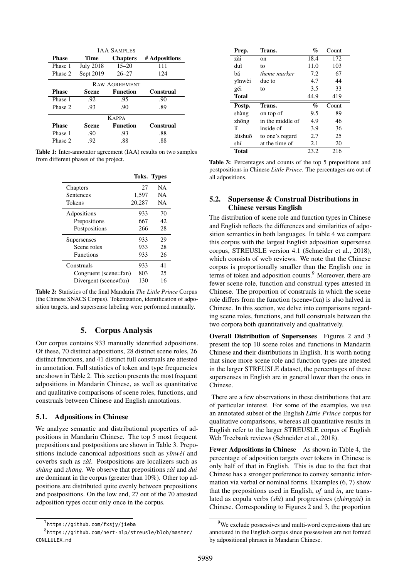<span id="page-3-2"></span>

| <b>JAA SAMPLES</b>   |                  |                 |               |  |  |
|----------------------|------------------|-----------------|---------------|--|--|
| <b>Phase</b>         | Time             | <b>Chapters</b> | # Adpositions |  |  |
| Phase 1              | <b>July 2018</b> | $15 - 20$       | 111           |  |  |
| Phase 2              | Sept 2019        | $26 - 27$       | 124           |  |  |
| <b>RAW AGREEMENT</b> |                  |                 |               |  |  |
| <b>Phase</b>         | Scene            | <b>Function</b> | Construal     |  |  |
| Phase 1              | .92              | .95             | .90           |  |  |
| Phase 2              | .93              | .90             | .89           |  |  |
| <b>KAPPA</b>         |                  |                 |               |  |  |
| <b>Phase</b>         | Scene            | <b>Function</b> | Construal     |  |  |
| Phase 1              | .90              | .93             | .88           |  |  |
| Phase 2              | .92              | .88             | .88           |  |  |

<span id="page-3-3"></span>Table 1: Inter-annotator agreement (IAA) results on two samples from different phases of the project.

|                              |        | <b>Toks. Types</b> |
|------------------------------|--------|--------------------|
| Chapters                     | 27     | NA.                |
| Sentences                    | 1,597  | NA.                |
| Tokens                       | 20,287 | <b>NA</b>          |
| Adpositions                  | 933    | 70                 |
| Prepositions                 | 667    | 42                 |
| Postpositions                | 266    | 28                 |
| Supersenses                  | 933    | 29                 |
| Scene roles                  | 933    | 28                 |
| <b>Functions</b>             | 933    | 26                 |
| Construals                   | 933    | 41                 |
| Congruent (scene=fxn)        | 803    | 25                 |
| Divergent (scene $\neq$ fxn) | 130    | 16                 |

Table 2: Statistics of the final Mandarin *The Little Prince* Corpus (the Chinese SNACS Corpus). Tokenization, identification of adposition targets, and supersense labeling were performed manually.

### 5. Corpus Analysis

Our corpus contains 933 manually identified adpositions. Of these, 70 distinct adpositions, 28 distinct scene roles, 26 distinct functions, and 41 distinct full construals are attested in annotation. Full statistics of token and type frequencies are shown in Table [2.](#page-3-3) This section presents the most frequent adpositions in Mandarin Chinese, as well as quantitative and qualitative comparisons of scene roles, functions, and construals between Chinese and English annotations.

#### 5.1. Adpositions in Chinese

We analyze semantic and distributional properties of adpositions in Mandarin Chinese. The top 5 most frequent prepositions and postpositions are shown in Table [3.](#page-3-4) Prepositions include canonical adpositions such as *yīnwèi* and coverbs such as *zài*. Postpositions are localizers such as *shàng* and *zhōng*. We observe that prepositions *zài* and *duì* are dominant in the corpus (greater than 10%). Other top adpositions are distributed quite evenly between prepositions and postpositions. On the low end, 27 out of the 70 attested adposition types occur only once in the corpus.

<span id="page-3-4"></span>

| Prep.        | Trans.           | $\mathcal{Q}_0$ | Count |
|--------------|------------------|-----------------|-------|
| zài          | on               | 18.4            | 172   |
| duì          | to               | 11.0            | 103   |
| bă           | theme marker     | 7.2             | 67    |
| yīnwèi       | due to           | 4.7             | 44    |
| gěi          | to               | 3.5             | 33    |
| <b>Total</b> |                  | 44.9            | 419   |
|              |                  |                 |       |
| Postp.       | Trans.           | $\%$            | Count |
| shàng        | on top of        | 9.5             | 89    |
| zhōng        | in the middle of | 4.9             | 46    |
| ۱ĭ           | inside of        | 3.9             | 36    |
| láishuō      | to one's regard  | 2.7             | 25    |
| shí          | at the time of   | 2.1             | 20    |

Table 3: Percentages and counts of the top 5 prepositions and postpositions in Chinese *Little Prince*. The percentages are out of all adpositions.

### 5.2. Supersense & Construal Distributions in Chinese versus English

The distribution of scene role and function types in Chinese and English reflects the differences and similarities of adposition semantics in both languages. In table [4](#page-4-0) we compare this corpus with the largest English adposition supersense corpus, STREUSLE version 4.1 [\(Schneider et al.,](#page-7-0) [2018\)](#page-7-0), which consists of web reviews. We note that the Chinese corpus is proportionally smaller than the English one in terms of token and adposition counts.<sup>[9](#page-3-5)</sup> Moreover, there are fewer scene role, function and construal types attested in Chinese. The proportion of construals in which the scene role differs from the function (scene≠fxn) is also halved in Chinese. In this section, we delve into comparisons regarding scene roles, functions, and full construals between the two corpora both quantitatively and qualitatively.

Overall Distribution of Supersenses Figures [2](#page-4-1) and [3](#page-4-2) present the top 10 scene roles and functions in Mandarin Chinese and their distributions in English. It is worth noting that since more scene role and function types are attested in the larger STREUSLE dataset, the percentages of these supersenses in English are in general lower than the ones in Chinese.

There are a few observations in these distributions that are of particular interest. For some of the examples, we use an annotated subset of the English *Little Prince* corpus for qualitative comparisons, whereas all quantitative results in English refer to the larger STREUSLE corpus of English Web Treebank reviews [\(Schneider et al.,](#page-7-0) [2018\)](#page-7-0).

Fewer Adpositions in Chinese As shown in Table [4,](#page-4-0) the percentage of adposition targets over tokens in Chinese is only half of that in English. This is due to the fact that Chinese has a stronger preference to convey semantic information via verbal or nominal forms. Examples [\(6,](#page-4-3) [7\)](#page-4-4) show that the prepositions used in English, *of* and *in*, are translated as copula verbs (*shì*) and progressives (*zhèngzài*) in Chinese. Corresponding to Figures [2](#page-4-1) and [3,](#page-4-2) the proportion

<span id="page-3-1"></span><span id="page-3-0"></span> $^{7}$ <https://github.com/fxsjy/jieba>

 $^8$ [https://github.com/nert-nlp/streusle/blob/master/](https://github.com/nert-nlp/streusle/blob/master/CONLLULEX.md) [CONLLULEX.md](https://github.com/nert-nlp/streusle/blob/master/CONLLULEX.md)

<span id="page-3-5"></span><sup>&</sup>lt;sup>9</sup>We exclude possessives and multi-word expressions that are annotated in the English corpus since possessives are not formed by adpositional phrases in Mandarin Chinese.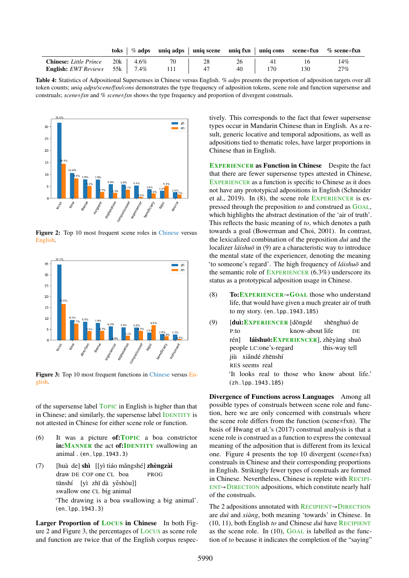<span id="page-4-0"></span>

|                                             |  |      |    |    |     | toks $\frac{1}{2}$ % adps uniq adps uniq scene uniq fxn uniq cons scene $\#\text{fxn}$ % scene $\#\text{fxn}$ |
|---------------------------------------------|--|------|----|----|-----|---------------------------------------------------------------------------------------------------------------|
| <b>Chinese:</b> Little Prince $20k$ 4.6%    |  |      | 26 | 41 |     | 14%                                                                                                           |
| <b>English:</b> EWT Reviews $55k$   $7.4\%$ |  | -111 | 40 |    | 130 | 27%                                                                                                           |

Table 4: Statistics of Adpositional Supersenses in Chinese versus English. *% adps* presents the proportion of adposition targets over all token counts; *uniq adps/scene/fxn/cons* demonstrates the type frequency of adposition tokens, scene role and function supersense and construals; *scene*≠*fxn* and *% scene*≠*fxn* shows the type frequency and proportion of divergent construals.

<span id="page-4-1"></span>

Figure 2: Top 10 most frequent scene roles in Chinese versus English.

<span id="page-4-2"></span>

Figure 3: Top 10 most frequent functions in Chinese versus English.

of the supersense label TOPIC in English is higher than that in Chinese; and similarly, the supersense label IDENTITY is not attested in Chinese for either scene role or function.

- <span id="page-4-3"></span>(6) It was a picture of:TOPIC a boa constrictor in: MANNER the act of: **IDENTITY** swallowing an animal . (en\_lpp\_1943.3)
- <span id="page-4-4"></span>(7) [huà de] shì [[yì tiáo mǎngshé] zhèngzài draw DE COP one CL boa PROG tūnshí [yì zhī dà yěshòu]] swallow one CL big animal 'The drawing is a boa swallowing a big animal'. (en\_lpp\_1943.3)

Larger Proportion of LOCUS in Chinese In both Figure [2](#page-4-1) and Figure [3,](#page-4-2) the percentages of LOCUS as scene role and function are twice that of the English corpus respectively. This corresponds to the fact that fewer supersense types occur in Mandarin Chinese than in English. As a result, generic locative and temporal adpositions, as well as adpositions tied to thematic roles, have larger proportions in Chinese than in English.

EXPERIENCER as Function in Chinese Despite the fact that there are fewer supersense types attested in Chinese, EXPERIENCER as a function is specific to Chinese as it does not have any prototypical adpositions in English [\(Schneider](#page-7-17) [et al.,](#page-7-17) [2019\)](#page-7-17). In [\(8\)](#page-4-5), the scene role EXPERIENCER is expressed through the preposition *to* and construed as GOAL, which highlights the abstract destination of the 'air of truth'. This reflects the basic meaning of *to*, which denotes a path towards a goal [\(Bowerman and Choi,](#page-6-14) [2001\)](#page-6-14). In contrast, the lexicalized combination of the preposition *duì* and the localizer *láishuō* in [\(9\)](#page-4-6) are a characteristic way to introduce the mental state of the experiencer, denoting the meaning 'to someone's regard'. The high frequency of *láishuō* and the semantic role of EXPERIENCER (6.3%) underscore its status as a prototypical adposition usage in Chinese.

- <span id="page-4-5"></span>(8) To: EXPERIENCER $\sim$  GOAL those who understand life, that would have given a much greater air of truth to my story. (en\_lpp\_1943.185)
- <span id="page-4-6"></span>(9) [duì:EXPERIENCER [dǒngdé P:to know-about life shēnghuó de DE rén] people LC:one's-regard láishuō: EXPERIENCER], zhèyàng shuō this-way tell jiù xiǎndé zhēnshí RES seems real 'It looks real to those who know about life.' (zh\_lpp\_1943.185)

Divergence of Functions across Languages Among all possible types of construals between scene role and function, here we are only concerned with construals where the scene role differs from the function (scene≠fxn). The basis of [Hwang et al.'](#page-7-16)s [\(2017\)](#page-7-16) construal analysis is that a scene role is construed as a function to express the contexual meaning of the adposition that is different from its lexical one. Figure [4](#page-5-1) presents the top 10 divergent (scene≠fxn) construals in Chinese and their corresponding proportions in English. Strikingly fewer types of construals are formed in Chinese. Nevertheless, Chinese is replete with RECIPI- $ENT \rightarrow DIRECTION$  adpositions, which constitute nearly half of the construals.

The 2 adpositions annotated with  $RECIPIENT \rightarrow DIRECTION$ are *duì* and *xiàng*, both meaning 'towards' in Chinese. In [\(10,](#page-5-2) [11\)](#page-5-3), both English *to* and Chinese *duì* have RECIPIENT as the scene role. In  $(10)$ , GOAL is labelled as the function of *to* because it indicates the completion of the "saying"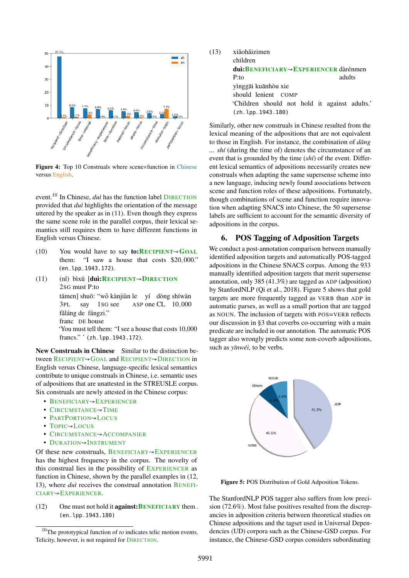<span id="page-5-1"></span>

Figure 4: Top 10 Construals where scene≠function in Chinese versus English.

event.<sup>[10](#page-5-4)</sup> In Chinese, *duì* has the function label **DIRECTION** provided that *duì* highlights the orientation of the message uttered by the speaker as in [\(11\)](#page-5-3). Even though they express the same scene role in the parallel corpus, their lexical semantics still requires them to have different functions in English versus Chinese.

- <span id="page-5-2"></span>(10) You would have to say **to:RECIPIENT** $\sim$ **GOAL** them: "I saw a house that costs \$20,000." (en\_lpp\_1943.172).
- <span id="page-5-3"></span> $(11)$ 2SG must P:to bìxū [<mark>duì:R</mark>ecipient→Direction tāmen] shuō: "wǒ kànjiàn le yí dòng shíwàn 3PL say 1SG see ASP one CL 10,000 făláng de fángzi." franc DE house 'You must tell them: "I see a house that costs 10,000 francs." ' (zh\_lpp\_1943.172).

New Construals in Chinese Similar to the distinction between RECIPIENT<sup></sup><sup>→</sup>GOAL and RECIPIENT→DIRECTION in English versus Chinese, language-specific lexical semantics contribute to unique construals in Chinese, i.e. semantic uses of adpositions that are unattested in the STREUSLE corpus. Six construals are newly attested in the Chinese corpus:

- BENEFICIARY↝EXPERIENCER
- CIRCUMSTANCE<sup>N</sup>TIME
- PARTPORTION<sup>√</sup>LOCUS
- TOPIC<sup>AL</sup>OCUS
- CIRCUMSTANCE→ ACCOMPANIER
- DURATION<sup>N</sup>INSTRUMENT

Of these new construals, BENEFICIARY $\sim$ EXPERIENCER has the highest frequency in the corpus. The novelty of this construal lies in the possibility of EXPERIENCER as function in Chinese, shown by the parallel examples in [\(12,](#page-5-5) [13\)](#page-5-6), where *duì* receives the construal annotation BENEFI-CIARY↝EXPERIENCER.

<span id="page-5-5"></span>(12) One must not hold it **against: BENEFICIARY** them . (en\_lpp\_1943.180)

<span id="page-5-6"></span>

| (13) | xiǎohǎizimen                                                                                                          |        |  |  |  |  |
|------|-----------------------------------------------------------------------------------------------------------------------|--------|--|--|--|--|
|      | children                                                                                                              |        |  |  |  |  |
|      | $\text{dui:}$ BENEFICIARY $\rightsquigarrow$ EXPERIENCER dàrénmen                                                     |        |  |  |  |  |
|      | P:to                                                                                                                  | adults |  |  |  |  |
|      | yinggāi kuānhòu xie<br>should lenient COMP<br>'Children should not hold it against adults.'<br>$(zh_{1}hp_{1943.180)$ |        |  |  |  |  |

Similarly, other new construals in Chinese resulted from the lexical meaning of the adpositions that are not equivalent to those in English. For instance, the combination of *dang ... shí* (during the time of) denotes the circumstance of an event that is grounded by the time (*shí*) of the event. Different lexical semantics of adpositions necessarily creates new construals when adapting the same supersense scheme into a new language, inducing newly found associations between scene and function roles of these adpositions. Fortunately, though combinations of scene and function require innovation when adapting SNACS into Chinese, the 50 supersense labels are sufficient to account for the semantic diversity of adpositions in the corpus.

#### <span id="page-5-0"></span>6. POS Tagging of Adposition Targets

We conduct a post-annotation comparison between manually identified adposition targets and automatically POS-tagged adpositions in the Chinese SNACS corpus. Among the 933 manually identified adposition targets that merit supersense annotation, only 385 (41.3%) are tagged as ADP (adposition) by StanfordNLP [\(Qi et al.,](#page-7-19) [2018\)](#page-7-19). Figure [5](#page-5-7) shows that gold targets are more frequently tagged as VERB than ADP in automatic parses, as well as a small portion that are tagged as NOUN. The inclusion of targets with POS=VERB reflects our discussion in [§3](#page-1-1) that coverbs co-occurring with a main predicate are included in our annotation. The automatic POS tagger also wrongly predicts some non-coverb adpositions, such as *yīnwéi*, to be verbs.

<span id="page-5-7"></span>

Figure 5: POS Distribution of Gold Adposition Tokens.

The StanfordNLP POS tagger also suffers from low precision (72.6%). Most false positives resulted from the discrepancies in adposition criteria between theoretical studies on Chinese adpositions and the tagset used in Universal Dependencies (UD) corpora such as the Chinese-GSD corpus. For instance, the Chinese-GSD corpus considers subordinating

<span id="page-5-4"></span><sup>10</sup>The prototypical function of *to* indicates telic motion events. Telicity, however, is not required for DIRECTION.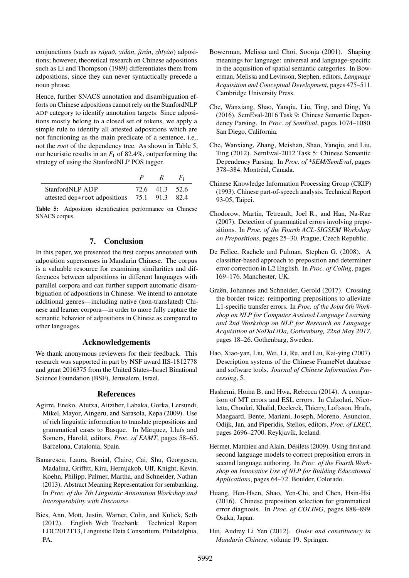conjunctions (such as *rúguoˇ*, *yídàn*, *jìrán*, *zhˇıyào*) adpositions; however, theoretical research on Chinese adpositions such as [Li and Thompson](#page-7-22) [\(1989\)](#page-7-22) differentiates them from adpositions, since they can never syntactically precede a noun phrase.

Hence, further SNACS annotation and disambiguation efforts on Chinese adpositions cannot rely on the StanfordNLP ADP category to identify annotation targets. Since adpositions mostly belong to a closed set of tokens, we apply a simple rule to identify all attested adpositions which are not functioning as the main predicate of a sentence, i.e., not the *root* of the dependency tree. As shown in Table [5,](#page-6-15) our heuristic results in an *F*<sup>1</sup> of 82.4%, outperforming the strategy of using the StanfordNLP POS tagger.

<span id="page-6-15"></span>

|                                              | R              | $F_1$ |
|----------------------------------------------|----------------|-------|
| StanfordNLP ADP                              | 72.6 41.3 52.6 |       |
| attested dep≠root adpositions 75.1 91.3 82.4 |                |       |

Table 5: Adposition identification performance on Chinese SNACS corpus.

# 7. Conclusion

In this paper, we presented the first corpus annotated with adposition supersenses in Mandarin Chinese. The corpus is a valuable resource for examining similarities and differences between adpositions in different languages with parallel corpora and can further support automatic disambiguation of adpositions in Chinese. We intend to annotate additional genres—including native (non-translated) Chinese and learner corpora—in order to more fully capture the semantic behavior of adpositions in Chinese as compared to other languages.

#### Acknowledgements

We thank anonymous reviewers for their feedback. This research was supported in part by NSF award IIS-1812778 and grant 2016375 from the United States–Israel Binational Science Foundation (BSF), Jerusalem, Israel.

#### References

- <span id="page-6-1"></span>Agirre, Eneko, Atutxa, Aitziber, Labaka, Gorka, Lersundi, Mikel, Mayor, Aingeru, and Sarasola, Kepa (2009). Use of rich linguistic information to translate prepositions and grammatical cases to Basque. In Màrquez, Lluís and Somers, Harold, editors, *Proc. of EAMT*, pages 58–65. Barcelona, Catalonia, Spain.
- <span id="page-6-13"></span>Banarescu, Laura, Bonial, Claire, Cai, Shu, Georgescu, Madalina, Griffitt, Kira, Hermjakob, Ulf, Knight, Kevin, Koehn, Philipp, Palmer, Martha, and Schneider, Nathan (2013). Abstract Meaning Representation for sembanking. In *Proc. of the 7th Linguistic Annotation Workshop and Interoperability with Discourse*.
- <span id="page-6-7"></span>Bies, Ann, Mott, Justin, Warner, Colin, and Kulick, Seth (2012). English Web Treebank. Technical Report LDC2012T13, Linguistic Data Consortium, Philadelphia, PA.
- <span id="page-6-14"></span>Bowerman, Melissa and Choi, Soonja (2001). Shaping meanings for language: universal and language-specific in the acquisition of spatial semantic categories. In Bowerman, Melissa and Levinson, Stephen, editors, *Language Acquisition and Conceptual Development*, pages 475–511. Cambridge University Press.
- <span id="page-6-10"></span>Che, Wanxiang, Shao, Yanqiu, Liu, Ting, and Ding, Yu (2016). SemEval-2016 Task 9: Chinese Semantic Dependency Parsing. In *Proc. of SemEval*, pages 1074–1080. San Diego, California.
- <span id="page-6-9"></span>Che, Wanxiang, Zhang, Meishan, Shao, Yanqiu, and Liu, Ting (2012). SemEval-2012 Task 5: Chinese Semantic Dependency Parsing. In *Proc. of \*SEM/SemEval*, pages 378–384. Montréal, Canada.
- <span id="page-6-11"></span>Chinese Knowledge Information Processing Group (CKIP) (1993). Chinese part-of-speech analysis. Technical Report 93-05, Taipei.
- <span id="page-6-0"></span>Chodorow, Martin, Tetreault, Joel R., and Han, Na-Rae (2007). Detection of grammatical errors involving prepositions. In *Proc. of the Fourth ACL-SIGSEM Workshop on Prepositions*, pages 25–30. Prague, Czech Republic.
- <span id="page-6-3"></span>De Felice, Rachele and Pulman, Stephen G. (2008). A classifier-based approach to preposition and determiner error correction in L2 English. In *Proc. of Coling*, pages 169–176. Manchester, UK.
- <span id="page-6-6"></span>Graën, Johannes and Schneider, Gerold (2017). Crossing the border twice: reimporting prepositions to alleviate L1-specific transfer errors. In *Proc. of the Joint 6th Workshop on NLP for Computer Assisted Language Learning and 2nd Workshop on NLP for Research on Language Acquisition at NoDaLiDa, Gothenburg, 22nd May 2017*, pages 18–26. Gothenburg, Sweden.
- <span id="page-6-8"></span>Hao, Xiao-yan, Liu, Wei, Li, Ru, and Liu, Kai-ying (2007). Description systems of the Chinese FrameNet database and software tools. *Journal of Chinese Information Processing*, 5.
- <span id="page-6-2"></span>Hashemi, Homa B. and Hwa, Rebecca (2014). A comparison of MT errors and ESL errors. In Calzolari, Nicoletta, Choukri, Khalid, Declerck, Thierry, Loftsson, Hrafn, Maegaard, Bente, Mariani, Joseph, Moreno, Asuncion, Odijk, Jan, and Piperidis, Stelios, editors, *Proc. of LREC*, pages 2696–2700. Reykjavík, Iceland.
- <span id="page-6-4"></span>Hermet, Matthieu and Alain, Désilets (2009). Using first and second language models to correct preposition errors in second language authoring. In *Proc. of the Fourth Workshop on Innovative Use of NLP for Building Educational Applications*, pages 64–72. Boulder, Colorado.
- <span id="page-6-5"></span>Huang, Hen-Hsen, Shao, Yen-Chi, and Chen, Hsin-Hsi (2016). Chinese preposition selection for grammatical error diagnosis. In *Proc. of COLING*, pages 888–899. Osaka, Japan.
- <span id="page-6-12"></span>Hui, Audrey Li Yen (2012). *Order and constituency in Mandarin Chinese*, volume 19. Springer.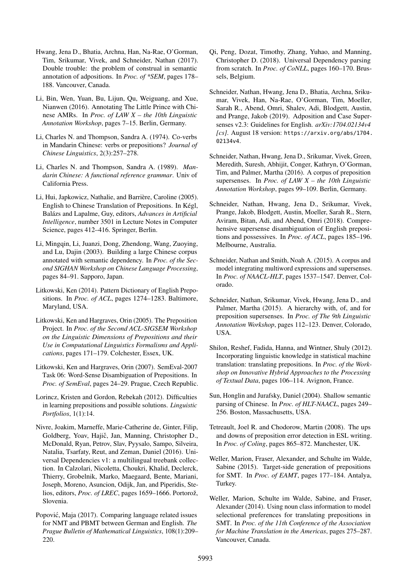- <span id="page-7-16"></span>Hwang, Jena D., Bhatia, Archna, Han, Na-Rae, O'Gorman, Tim, Srikumar, Vivek, and Schneider, Nathan (2017). Double trouble: the problem of construal in semantic annotation of adpositions. In *Proc. of \*SEM*, pages 178– 188. Vancouver, Canada.
- <span id="page-7-13"></span>Li, Bin, Wen, Yuan, Bu, Lijun, Qu, Weiguang, and Xue, Nianwen (2016). Annotating The Little Prince with Chinese AMRs. In *Proc. of LAW X – the 10th Linguistic Annotation Workshop*, pages 7–15. Berlin, Germany.
- <span id="page-7-18"></span>Li, Charles N. and Thompson, Sandra A. (1974). Co-verbs in Mandarin Chinese: verbs or prepositions? *Journal of Chinese Linguistics*, 2(3):257–278.
- <span id="page-7-22"></span>Li, Charles N. and Thompson, Sandra A. (1989). *Mandarin Chinese: A functional reference grammar*. Univ of California Press.
- <span id="page-7-2"></span>Li, Hui, Japkowicz, Nathalie, and Barrière, Caroline (2005). English to Chinese Translation of Prepositions. In Kégl, Balázs and Lapalme, Guy, editors, *Advances in Artificial Intelligence*, number 3501 in Lecture Notes in Computer Science, pages 412–416. Springer, Berlin.
- <span id="page-7-14"></span>Li, Mingqin, Li, Juanzi, Dong, Zhendong, Wang, Zuoying, and Lu, Dajin (2003). Building a large Chinese corpus annotated with semantic dependency. In *Proc. of the Second SIGHAN Workshop on Chinese Language Processing*, pages 84–91. Sapporo, Japan.
- <span id="page-7-10"></span>Litkowski, Ken (2014). Pattern Dictionary of English Prepositions. In *Proc. of ACL*, pages 1274–1283. Baltimore, Maryland, USA.
- <span id="page-7-8"></span>Litkowski, Ken and Hargraves, Orin (2005). The Preposition Project. In *Proc. of the Second ACL-SIGSEM Workshop on the Linguistic Dimensions of Prepositions and their Use in Computational Linguistics Formalisms and Applications*, pages 171–179. Colchester, Essex, UK.
- <span id="page-7-9"></span>Litkowski, Ken and Hargraves, Orin (2007). SemEval-2007 Task 06: Word-Sense Disambiguation of Prepositions. In *Proc. of SemEval*, pages 24–29. Prague, Czech Republic.
- <span id="page-7-1"></span>Lorincz, Kristen and Gordon, Rebekah (2012). Difficulties in learning prepositions and possible solutions. *Linguistic Portfolios*, 1(1):14.
- <span id="page-7-21"></span>Nivre, Joakim, Marneffe, Marie-Catherine de, Ginter, Filip, Goldberg, Yoav, Hajič, Jan, Manning, Christopher D., McDonald, Ryan, Petrov, Slav, Pyysalo, Sampo, Silveira, Natalia, Tsarfaty, Reut, and Zeman, Daniel (2016). Universal Dependencies v1: a multilingual treebank collection. In Calzolari, Nicoletta, Choukri, Khalid, Declerck, Thierry, Grobelnik, Marko, Maegaard, Bente, Mariani, Joseph, Moreno, Asuncion, Odijk, Jan, and Piperidis, Stelios, editors, *Proc. of LREC*, pages 1659–1666. Portorož, Slovenia.
- <span id="page-7-6"></span>Popovic, Maja (2017). Comparing language related issues ´ for NMT and PBMT between German and English. *The Prague Bulletin of Mathematical Linguistics*, 108(1):209– 220.
- <span id="page-7-19"></span>Qi, Peng, Dozat, Timothy, Zhang, Yuhao, and Manning, Christopher D. (2018). Universal Dependency parsing from scratch. In *Proc. of CoNLL*, pages 160–170. Brussels, Belgium.
- <span id="page-7-17"></span>Schneider, Nathan, Hwang, Jena D., Bhatia, Archna, Srikumar, Vivek, Han, Na-Rae, O'Gorman, Tim, Moeller, Sarah R., Abend, Omri, Shalev, Adi, Blodgett, Austin, and Prange, Jakob (2019). Adposition and Case Supersenses v2.3: Guidelines for English. *arXiv:1704.02134v4 [cs]*. August 18 version: [https://arxiv.org/abs/1704.](https://arxiv.org/abs/1704.02134v4) [02134v4](https://arxiv.org/abs/1704.02134v4).
- <span id="page-7-12"></span>Schneider, Nathan, Hwang, Jena D., Srikumar, Vivek, Green, Meredith, Suresh, Abhijit, Conger, Kathryn, O'Gorman, Tim, and Palmer, Martha (2016). A corpus of preposition supersenses. In *Proc. of LAW X – the 10th Linguistic Annotation Workshop*, pages 99–109. Berlin, Germany.
- <span id="page-7-0"></span>Schneider, Nathan, Hwang, Jena D., Srikumar, Vivek, Prange, Jakob, Blodgett, Austin, Moeller, Sarah R., Stern, Aviram, Bitan, Adi, and Abend, Omri (2018). Comprehensive supersense disambiguation of English prepositions and possessives. In *Proc. of ACL*, pages 185–196. Melbourne, Australia.
- <span id="page-7-20"></span>Schneider, Nathan and Smith, Noah A. (2015). A corpus and model integrating multiword expressions and supersenses. In *Proc. of NAACL-HLT*, pages 1537–1547. Denver, Colorado.
- <span id="page-7-11"></span>Schneider, Nathan, Srikumar, Vivek, Hwang, Jena D., and Palmer, Martha (2015). A hierarchy with, of, and for preposition supersenses. In *Proc. of The 9th Linguistic Annotation Workshop*, pages 112–123. Denver, Colorado, USA.
- <span id="page-7-3"></span>Shilon, Reshef, Fadida, Hanna, and Wintner, Shuly (2012). Incorporating linguistic knowledge in statistical machine translation: translating prepositions. In *Proc. of the Workshop on Innovative Hybrid Approaches to the Processing of Textual Data*, pages 106–114. Avignon, France.
- <span id="page-7-15"></span>Sun, Honglin and Jurafsky, Daniel (2004). Shallow semantic parsing of Chinese. In *Proc. of HLT-NAACL*, pages 249– 256. Boston, Massachusetts, USA.
- <span id="page-7-7"></span>Tetreault, Joel R. and Chodorow, Martin (2008). The ups and downs of preposition error detection in ESL writing. In *Proc. of Coling*, pages 865–872. Manchester, UK.
- <span id="page-7-5"></span>Weller, Marion, Fraser, Alexander, and Schulte im Walde, Sabine (2015). Target-side generation of prepositions for SMT. In *Proc. of EAMT*, pages 177–184. Antalya, Turkey.
- <span id="page-7-4"></span>Weller, Marion, Schulte im Walde, Sabine, and Fraser, Alexander (2014). Using noun class information to model selectional preferences for translating prepositions in SMT. In *Proc. of the 11th Conference of the Association for Machine Translation in the Americas*, pages 275–287. Vancouver, Canada.